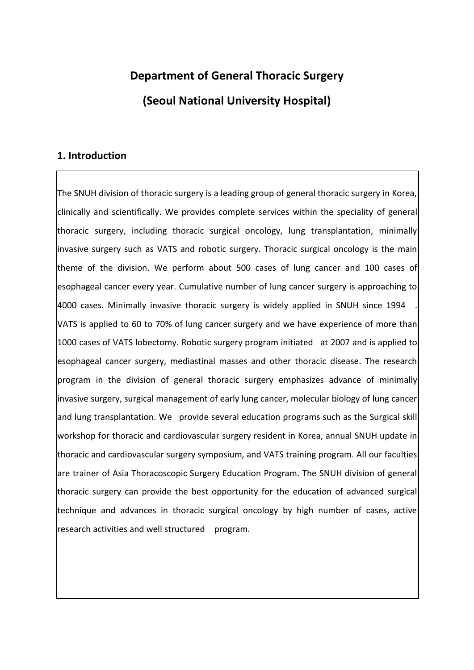# **Department of General Thoracic Surgery (Seoul National University Hospital)**

### **1. Introduction**

The SNUH division of thoracic surgery is a leading group of general thoracic surgery in Korea, clinically and scientifically. We provides complete services within the speciality of general thoracic surgery, including thoracic surgical oncology, lung transplantation, minimally invasive surgery such as VATS and robotic surgery. Thoracic surgical oncology is the main theme of the division. We perform about 500 cases of lung cancer and 100 cases of esophageal cancer every year. Cumulative number of lung cancer surgery is approaching to 4000 cases. Minimally invasive thoracic surgery is widely applied in SNUH since 1994 . VATS is applied to 60 to 70% of lung cancer surgery and we have experience of more than 1000 cases of VATS lobectomy. Robotic surgery program initiated at 2007 and is applied to esophageal cancer surgery, mediastinal masses and other thoracic disease. The research program in the division of general thoracic surgery emphasizes advance of minimally invasive surgery, surgical management of early lung cancer, molecular biology of lung cancer and lung transplantation. We provide several education programs such as the Surgical skill workshop for thoracic and cardiovascular surgery resident in Korea, annual SNUH update in thoracic and cardiovascular surgery symposium, and VATS training program. All our faculties are trainer of Asia Thoracoscopic Surgery Education Program. The SNUH division of general thoracic surgery can provide the best opportunity for the education of advanced surgical technique and advances in thoracic surgical oncology by high number of cases, active research activities and well structured program.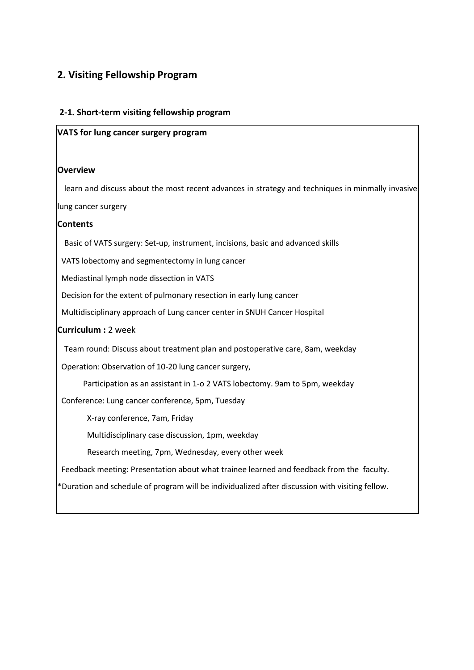## **2. Visiting Fellowship Program**

#### **2-1. Short-term visiting fellowship program**

#### **VATS for lung cancer surgery program**

#### **Overview**

learn and discuss about the most recent advances in strategy and techniques in minmally invasive

lung cancer surgery

#### **Contents**

Basic of VATS surgery: Set-up, instrument, incisions, basic and advanced skills

VATS lobectomy and segmentectomy in lung cancer

Mediastinal lymph node dissection in VATS

Decision for the extent of pulmonary resection in early lung cancer

Multidisciplinary approach of Lung cancer center in SNUH Cancer Hospital

#### **Curriculum :** 2 week

Team round: Discuss about treatment plan and postoperative care, 8am, weekday

Operation: Observation of 10-20 lung cancer surgery,

Participation as an assistant in 1-o 2 VATS lobectomy. 9am to 5pm, weekday

Conference: Lung cancer conference, 5pm, Tuesday

X-ray conference, 7am, Friday

Multidisciplinary case discussion, 1pm, weekday

Research meeting, 7pm, Wednesday, every other week

Feedback meeting: Presentation about what trainee learned and feedback from the faculty.

\*Duration and schedule of program will be individualized after discussion with visiting fellow.